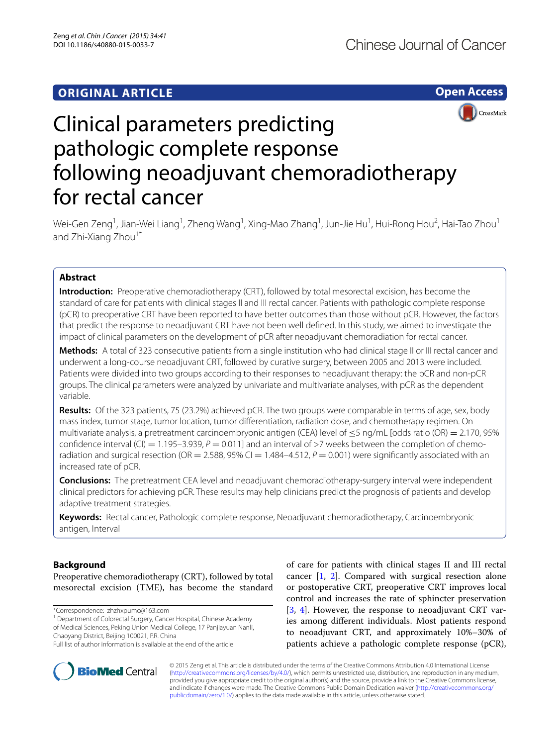

CrossMark

# Clinical parameters predicting pathologic complete response following neoadjuvant chemoradiotherapy for rectal cancer

Wei-Gen Zeng<sup>1</sup>, Jian-Wei Liang<sup>1</sup>, Zheng Wang<sup>1</sup>, Xing-Mao Zhang<sup>1</sup>, Jun-Jie Hu<sup>1</sup>, Hui-Rong Hou<sup>2</sup>, Hai-Tao Zhou<sup>1</sup> and Zhi-Xiang Zhou<sup>1\*</sup>

# **Abstract**

**Introduction:** Preoperative chemoradiotherapy (CRT), followed by total mesorectal excision, has become the standard of care for patients with clinical stages II and III rectal cancer. Patients with pathologic complete response (pCR) to preoperative CRT have been reported to have better outcomes than those without pCR. However, the factors that predict the response to neoadjuvant CRT have not been well defined. In this study, we aimed to investigate the impact of clinical parameters on the development of pCR after neoadjuvant chemoradiation for rectal cancer.

**Methods:** A total of 323 consecutive patients from a single institution who had clinical stage II or III rectal cancer and underwent a long-course neoadjuvant CRT, followed by curative surgery, between 2005 and 2013 were included. Patients were divided into two groups according to their responses to neoadjuvant therapy: the pCR and non-pCR groups. The clinical parameters were analyzed by univariate and multivariate analyses, with pCR as the dependent variable.

**Results:** Of the 323 patients, 75 (23.2%) achieved pCR. The two groups were comparable in terms of age, sex, body mass index, tumor stage, tumor location, tumor differentiation, radiation dose, and chemotherapy regimen. On multivariate analysis, a pretreatment carcinoembryonic antigen (CEA) level of  $\leq$ 5 ng/mL [odds ratio (OR) = 2.170, 95% confidence interval (CI) =  $1.195-3.939$ ,  $P = 0.011$ ] and an interval of >7 weeks between the completion of chemoradiation and surgical resection (OR = 2.588, 95% CI = 1.484–4.512,  $P = 0.001$ ) were significantly associated with an increased rate of pCR.

**Conclusions:** The pretreatment CEA level and neoadjuvant chemoradiotherapy-surgery interval were independent clinical predictors for achieving pCR. These results may help clinicians predict the prognosis of patients and develop adaptive treatment strategies.

**Keywords:** Rectal cancer, Pathologic complete response, Neoadjuvant chemoradiotherapy, Carcinoembryonic antigen, Interval

# **Background**

Preoperative chemoradiotherapy (CRT), followed by total mesorectal excision (TME), has become the standard

\*Correspondence: zhzhxpumc@163.com

<sup>1</sup> Department of Colorectal Surgery, Cancer Hospital, Chinese Academy of Medical Sciences, Peking Union Medical College, 17 Panjiayuan Nanli, Chaoyang District, Beijing 100021, P.R. China





© 2015 Zeng et al. This article is distributed under the terms of the Creative Commons Attribution 4.0 International License [\(http://creativecommons.org/licenses/by/4.0/\)](http://creativecommons.org/licenses/by/4.0/), which permits unrestricted use, distribution, and reproduction in any medium, provided you give appropriate credit to the original author(s) and the source, provide a link to the Creative Commons license, and indicate if changes were made. The Creative Commons Public Domain Dedication waiver ([http://creativecommons.org/](http://creativecommons.org/publicdomain/zero/1.0/) [publicdomain/zero/1.0/](http://creativecommons.org/publicdomain/zero/1.0/)) applies to the data made available in this article, unless otherwise stated.

Full list of author information is available at the end of the article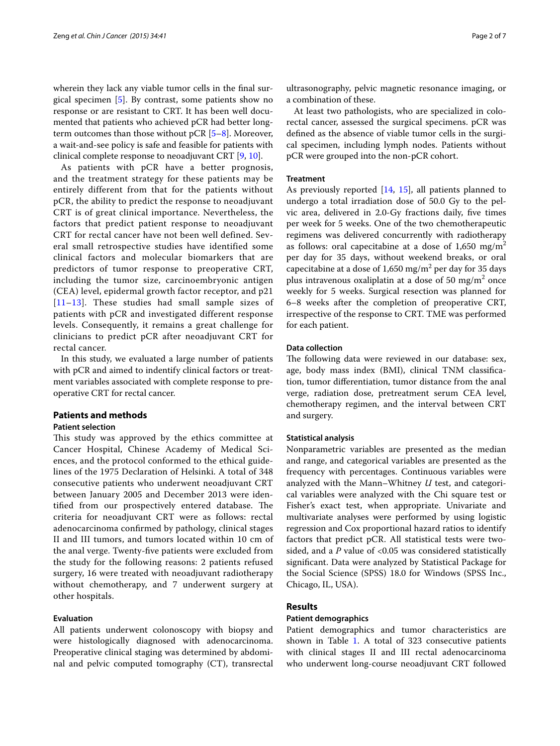wherein they lack any viable tumor cells in the final surgical specimen [\[5](#page-5-4)]. By contrast, some patients show no response or are resistant to CRT. It has been well documented that patients who achieved pCR had better longterm outcomes than those without  $pCR$  [[5–](#page-5-4)[8\]](#page-5-5). Moreover, a wait-and-see policy is safe and feasible for patients with clinical complete response to neoadjuvant CRT [[9,](#page-5-6) [10](#page-5-7)].

As patients with pCR have a better prognosis, and the treatment strategy for these patients may be entirely different from that for the patients without pCR, the ability to predict the response to neoadjuvant CRT is of great clinical importance. Nevertheless, the factors that predict patient response to neoadjuvant CRT for rectal cancer have not been well defined. Several small retrospective studies have identified some clinical factors and molecular biomarkers that are predictors of tumor response to preoperative CRT, including the tumor size, carcinoembryonic antigen (CEA) level, epidermal growth factor receptor, and p21 [[11](#page-5-8)[–13\]](#page-5-9). These studies had small sample sizes of patients with pCR and investigated different response levels. Consequently, it remains a great challenge for clinicians to predict pCR after neoadjuvant CRT for rectal cancer.

In this study, we evaluated a large number of patients with pCR and aimed to indentify clinical factors or treatment variables associated with complete response to preoperative CRT for rectal cancer.

## **Patients and methods**

## **Patient selection**

This study was approved by the ethics committee at Cancer Hospital, Chinese Academy of Medical Sciences, and the protocol conformed to the ethical guidelines of the 1975 Declaration of Helsinki. A total of 348 consecutive patients who underwent neoadjuvant CRT between January 2005 and December 2013 were identified from our prospectively entered database. The criteria for neoadjuvant CRT were as follows: rectal adenocarcinoma confirmed by pathology, clinical stages II and III tumors, and tumors located within 10 cm of the anal verge. Twenty-five patients were excluded from the study for the following reasons: 2 patients refused surgery, 16 were treated with neoadjuvant radiotherapy without chemotherapy, and 7 underwent surgery at other hospitals.

## **Evaluation**

All patients underwent colonoscopy with biopsy and were histologically diagnosed with adenocarcinoma. Preoperative clinical staging was determined by abdominal and pelvic computed tomography (CT), transrectal

ultrasonography, pelvic magnetic resonance imaging, or a combination of these.

At least two pathologists, who are specialized in colorectal cancer, assessed the surgical specimens. pCR was defined as the absence of viable tumor cells in the surgical specimen, including lymph nodes. Patients without pCR were grouped into the non-pCR cohort.

#### **Treatment**

As previously reported [\[14](#page-5-10), [15](#page-5-11)], all patients planned to undergo a total irradiation dose of 50.0 Gy to the pelvic area, delivered in 2.0-Gy fractions daily, five times per week for 5 weeks. One of the two chemotherapeutic regimens was delivered concurrently with radiotherapy as follows: oral capecitabine at a dose of  $1,650$  mg/m<sup>2</sup> per day for 35 days, without weekend breaks, or oral capecitabine at a dose of  $1,650$  mg/m<sup>2</sup> per day for 35 days plus intravenous oxaliplatin at a dose of 50 mg/m<sup>2</sup> once weekly for 5 weeks. Surgical resection was planned for 6–8 weeks after the completion of preoperative CRT, irrespective of the response to CRT. TME was performed for each patient.

## **Data collection**

The following data were reviewed in our database: sex, age, body mass index (BMI), clinical TNM classification, tumor differentiation, tumor distance from the anal verge, radiation dose, pretreatment serum CEA level, chemotherapy regimen, and the interval between CRT and surgery.

### **Statistical analysis**

Nonparametric variables are presented as the median and range, and categorical variables are presented as the frequency with percentages. Continuous variables were analyzed with the Mann–Whitney *U* test, and categorical variables were analyzed with the Chi square test or Fisher's exact test, when appropriate. Univariate and multivariate analyses were performed by using logistic regression and Cox proportional hazard ratios to identify factors that predict pCR. All statistical tests were twosided, and a *P* value of <0.05 was considered statistically significant. Data were analyzed by Statistical Package for the Social Science (SPSS) 18.0 for Windows (SPSS Inc., Chicago, IL, USA).

# **Results**

#### **Patient demographics**

Patient demographics and tumor characteristics are shown in Table [1](#page-2-0). A total of 323 consecutive patients with clinical stages II and III rectal adenocarcinoma who underwent long-course neoadjuvant CRT followed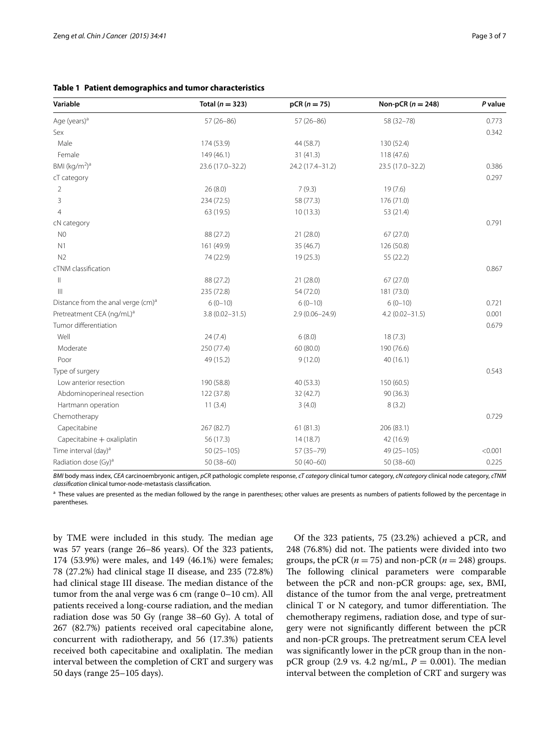<span id="page-2-0"></span>

| Variable                                       | Total ( $n = 323$ ) | $pCR (n = 75)$     | Non-pCR $(n = 248)$ | P value |
|------------------------------------------------|---------------------|--------------------|---------------------|---------|
| Age (years) <sup>a</sup>                       | $57(26-86)$         | $57(26-86)$        | 58 (32-78)          | 0.773   |
| Sex                                            |                     |                    |                     | 0.342   |
| Male                                           | 174 (53.9)          | 44 (58.7)          | 130 (52.4)          |         |
| Female                                         | 149 (46.1)          | 31(41.3)           | 118 (47.6)          |         |
| BMI $(kq/m2)a$                                 | 23.6 (17.0-32.2)    | 24.2 (17.4-31.2)   | 23.5 (17.0-32.2)    | 0.386   |
| cT category                                    |                     |                    |                     | 0.297   |
| 2                                              | 26(8.0)             | 7(9.3)             | 19(7.6)             |         |
| 3                                              | 234 (72.5)          | 58 (77.3)          | 176 (71.0)          |         |
| $\overline{4}$                                 | 63 (19.5)           | 10(13.3)           | 53 (21.4)           |         |
| cN category                                    |                     |                    |                     | 0.791   |
| N <sub>0</sub>                                 | 88 (27.2)           | 21(28.0)           | 67(27.0)            |         |
| N1                                             | 161 (49.9)          | 35(46.7)           | 126 (50.8)          |         |
| N <sub>2</sub>                                 | 74 (22.9)           | 19 (25.3)          | 55 (22.2)           |         |
| cTNM classification                            |                     |                    |                     | 0.867   |
| Ш                                              | 88 (27.2)           | 21(28.0)           | 67(27.0)            |         |
| $\mathbf{III}$                                 | 235 (72.8)          | 54 (72.0)          | 181 (73.0)          |         |
| Distance from the anal verge (cm) <sup>a</sup> | $6(0-10)$           | $6(0-10)$          | $6(0-10)$           | 0.721   |
| Pretreatment CEA (ng/mL) <sup>a</sup>          | $3.8(0.02 - 31.5)$  | $2.9(0.06 - 24.9)$ | $4.2(0.02 - 31.5)$  | 0.001   |
| Tumor differentiation                          |                     |                    |                     | 0.679   |
| Well                                           | 24(7.4)             | 6(8.0)             | 18(7.3)             |         |
| Moderate                                       | 250 (77.4)          | 60 (80.0)          | 190 (76.6)          |         |
| Poor                                           | 49 (15.2)           | 9(12.0)            | 40(16.1)            |         |
| Type of surgery                                |                     |                    |                     | 0.543   |
| Low anterior resection                         | 190 (58.8)          | 40(53.3)           | 150 (60.5)          |         |
| Abdominoperineal resection                     | 122 (37.8)          | 32 (42.7)          | 90(36.3)            |         |
| Hartmann operation                             | 11(3.4)             | 3(4.0)             | 8(3.2)              |         |
| Chemotherapy                                   |                     |                    |                     | 0.729   |
| Capecitabine                                   | 267 (82.7)          | 61(81.3)           | 206 (83.1)          |         |
| Capecitabine + oxaliplatin                     | 56 (17.3)           | 14(18.7)           | 42 (16.9)           |         |
| Time interval (day) <sup>a</sup>               | $50(25 - 105)$      | 57 (35-79)         | 49 (25-105)         | < 0.001 |
| Radiation dose (Gy) <sup>a</sup>               | $50(38-60)$         | $50(40-60)$        | $50(38-60)$         | 0.225   |

*BMI* body mass index, *CEA* carcinoembryonic antigen, *pCR* pathologic complete response, *cT category* clinical tumor category, *cN category* clinical node category, *cTNM classification* clinical tumor-node-metastasis classification.

<sup>a</sup> These values are presented as the median followed by the range in parentheses; other values are presents as numbers of patients followed by the percentage in parentheses.

by TME were included in this study. The median age was 57 years (range 26–86 years). Of the 323 patients, 174 (53.9%) were males, and 149 (46.1%) were females; 78 (27.2%) had clinical stage II disease, and 235 (72.8%) had clinical stage III disease. The median distance of the tumor from the anal verge was 6 cm (range 0–10 cm). All patients received a long-course radiation, and the median radiation dose was 50 Gy (range 38–60 Gy). A total of 267 (82.7%) patients received oral capecitabine alone, concurrent with radiotherapy, and 56 (17.3%) patients received both capecitabine and oxaliplatin. The median interval between the completion of CRT and surgery was 50 days (range 25–105 days).

Of the 323 patients, 75 (23.2%) achieved a pCR, and 248 (76.8%) did not. The patients were divided into two groups, the pCR ( $n = 75$ ) and non-pCR ( $n = 248$ ) groups. The following clinical parameters were comparable between the pCR and non-pCR groups: age, sex, BMI, distance of the tumor from the anal verge, pretreatment clinical T or N category, and tumor differentiation. The chemotherapy regimens, radiation dose, and type of surgery were not significantly different between the pCR and non-pCR groups. The pretreatment serum CEA level was significantly lower in the pCR group than in the nonpCR group (2.9 vs. 4.2  $\text{ng/mL}$ ,  $P = 0.001$ ). The median interval between the completion of CRT and surgery was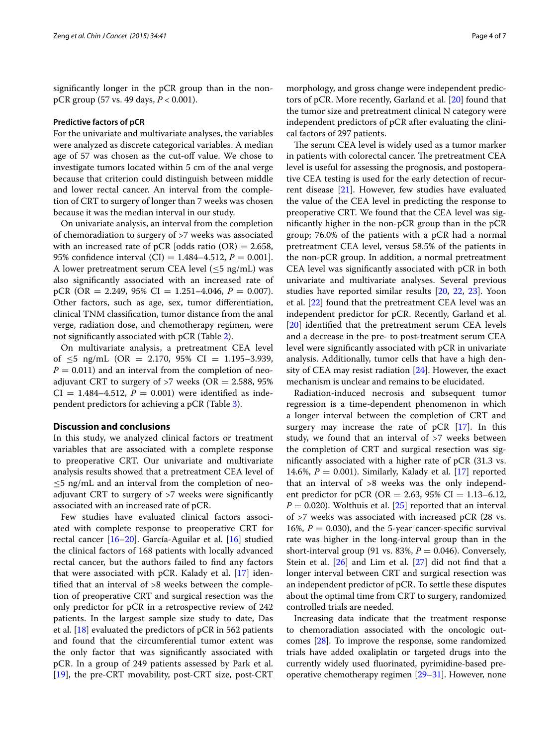significantly longer in the pCR group than in the nonpCR group (57 vs. 49 days, *P* < 0.001).

# **Predictive factors of pCR**

For the univariate and multivariate analyses, the variables were analyzed as discrete categorical variables. A median age of 57 was chosen as the cut-off value. We chose to investigate tumors located within 5 cm of the anal verge because that criterion could distinguish between middle and lower rectal cancer. An interval from the completion of CRT to surgery of longer than 7 weeks was chosen because it was the median interval in our study.

On univariate analysis, an interval from the completion of chemoradiation to surgery of >7 weeks was associated with an increased rate of pCR [odds ratio  $(OR) = 2.658$ , 95% confidence interval (CI) =  $1.484 - 4.512$ ,  $P = 0.001$ . A lower pretreatment serum CEA level  $(\leq 5 \text{ ng/mL})$  was also significantly associated with an increased rate of pCR (OR =  $2.249$ ,  $95\%$  CI =  $1.251-4.046$ ,  $P = 0.007$ ). Other factors, such as age, sex, tumor differentiation, clinical TNM classification, tumor distance from the anal verge, radiation dose, and chemotherapy regimen, were not significantly associated with pCR (Table [2\)](#page-4-0).

On multivariate analysis, a pretreatment CEA level of  $\leq$ 5 ng/mL (OR = 2.170, 95% CI = 1.195–3.939,  $P = 0.011$ ) and an interval from the completion of neoadjuvant CRT to surgery of  $>7$  weeks (OR = 2.588, 95%)  $CI = 1.484 - 4.512$ ,  $P = 0.001$ ) were identified as independent predictors for achieving a pCR (Table [3](#page-5-12)).

### **Discussion and conclusions**

In this study, we analyzed clinical factors or treatment variables that are associated with a complete response to preoperative CRT. Our univariate and multivariate analysis results showed that a pretreatment CEA level of  $\leq$ 5 ng/mL and an interval from the completion of neoadjuvant CRT to surgery of >7 weeks were significantly associated with an increased rate of pCR.

Few studies have evaluated clinical factors associated with complete response to preoperative CRT for rectal cancer [\[16–](#page-5-13)[20\]](#page-6-0). García-Aguilar et al. [[16\]](#page-5-13) studied the clinical factors of 168 patients with locally advanced rectal cancer, but the authors failed to find any factors that were associated with  $pCR$ . Kalady et al. [\[17](#page-5-14)] identified that an interval of >8 weeks between the completion of preoperative CRT and surgical resection was the only predictor for pCR in a retrospective review of 242 patients. In the largest sample size study to date, Das et al. [[18\]](#page-5-15) evaluated the predictors of pCR in 562 patients and found that the circumferential tumor extent was the only factor that was significantly associated with pCR. In a group of 249 patients assessed by Park et al. [[19\]](#page-6-1), the pre-CRT movability, post-CRT size, post-CRT

morphology, and gross change were independent predictors of pCR. More recently, Garland et al. [\[20](#page-6-0)] found that the tumor size and pretreatment clinical N category were independent predictors of pCR after evaluating the clinical factors of 297 patients.

The serum CEA level is widely used as a tumor marker in patients with colorectal cancer. The pretreatment CEA level is useful for assessing the prognosis, and postoperative CEA testing is used for the early detection of recurrent disease [[21](#page-6-2)]. However, few studies have evaluated the value of the CEA level in predicting the response to preoperative CRT. We found that the CEA level was significantly higher in the non-pCR group than in the pCR group; 76.0% of the patients with a pCR had a normal pretreatment CEA level, versus 58.5% of the patients in the non-pCR group. In addition, a normal pretreatment CEA level was significantly associated with pCR in both univariate and multivariate analyses. Several previous studies have reported similar results [\[20,](#page-6-0) [22,](#page-6-3) [23](#page-6-4)]. Yoon et al. [[22\]](#page-6-3) found that the pretreatment CEA level was an independent predictor for pCR. Recently, Garland et al. [[20\]](#page-6-0) identified that the pretreatment serum CEA levels and a decrease in the pre- to post-treatment serum CEA level were significantly associated with pCR in univariate analysis. Additionally, tumor cells that have a high density of CEA may resist radiation [\[24](#page-6-5)]. However, the exact mechanism is unclear and remains to be elucidated.

Radiation-induced necrosis and subsequent tumor regression is a time-dependent phenomenon in which a longer interval between the completion of CRT and surgery may increase the rate of pCR [\[17](#page-5-14)]. In this study, we found that an interval of >7 weeks between the completion of CRT and surgical resection was significantly associated with a higher rate of pCR (31.3 vs. 14.6%,  $P = 0.001$ ). Similarly, Kalady et al. [\[17](#page-5-14)] reported that an interval of >8 weeks was the only independent predictor for pCR (OR = 2.63, 95% CI = 1.13–6.12,  $P = 0.020$ ). Wolthuis et al. [[25](#page-6-6)] reported that an interval of >7 weeks was associated with increased pCR (28 vs. 16%,  $P = 0.030$ ), and the 5-year cancer-specific survival rate was higher in the long-interval group than in the short-interval group (91 vs. 83%,  $P = 0.046$ ). Conversely, Stein et al.  $[26]$  $[26]$  and Lim et al.  $[27]$  did not find that a longer interval between CRT and surgical resection was an independent predictor of pCR. To settle these disputes about the optimal time from CRT to surgery, randomized controlled trials are needed.

Increasing data indicate that the treatment response to chemoradiation associated with the oncologic outcomes [\[28\]](#page-6-9). To improve the response, some randomized trials have added oxaliplatin or targeted drugs into the currently widely used fluorinated, pyrimidine-based preoperative chemotherapy regimen [\[29–](#page-6-10)[31](#page-6-11)]. However, none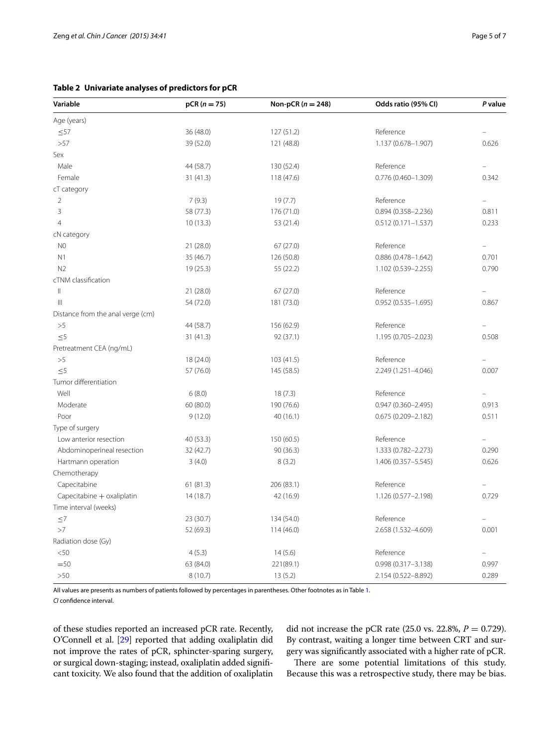<span id="page-4-0"></span>**Table 2 Univariate analyses of predictors for pCR**

| Variable                          | $pCR (n = 75)$ | Non-pCR $(n = 248)$ | Odds ratio (95% CI)    | P value |
|-----------------------------------|----------------|---------------------|------------------------|---------|
| Age (years)                       |                |                     |                        |         |
| $\leq 57$                         | 36 (48.0)      | 127(51.2)           | Reference              |         |
| >57                               | 39 (52.0)      | 121 (48.8)          | 1.137 (0.678-1.907)    | 0.626   |
| Sex                               |                |                     |                        |         |
| Male                              | 44 (58.7)      | 130 (52.4)          | Reference              |         |
| Female                            | 31(41.3)       | 118 (47.6)          | 0.776 (0.460-1.309)    | 0.342   |
| cT category                       |                |                     |                        |         |
| $\overline{2}$                    | 7(9.3)         | 19(7.7)             | Reference              |         |
| 3                                 | 58 (77.3)      | 176 (71.0)          | $0.894(0.358 - 2.236)$ | 0.811   |
| $\overline{4}$                    | 10(13.3)       | 53 (21.4)           | $0.512(0.171 - 1.537)$ | 0.233   |
| cN category                       |                |                     |                        |         |
| N <sub>0</sub>                    | 21(28.0)       | 67(27.0)            | Reference              |         |
| N1                                | 35 (46.7)      | 126 (50.8)          | $0.886(0.478 - 1.642)$ | 0.701   |
| N <sub>2</sub>                    | 19(25.3)       | 55 (22.2)           | 1.102 (0.539-2.255)    | 0.790   |
| cTNM classification               |                |                     |                        |         |
| $\, \parallel$                    | 21(28.0)       | 67(27.0)            | Reference              |         |
| $\mathop{\rm III}$                | 54 (72.0)      | 181 (73.0)          | $0.952(0.535 - 1.695)$ | 0.867   |
| Distance from the anal verge (cm) |                |                     |                        |         |
| >5                                | 44 (58.7)      | 156 (62.9)          | Reference              |         |
| $<$ 5                             | 31(41.3)       | 92 (37.1)           | 1.195 (0.705-2.023)    | 0.508   |
| Pretreatment CEA (ng/mL)          |                |                     |                        |         |
| >5                                | 18 (24.0)      | 103 (41.5)          | Reference              |         |
| $\leq 5$                          | 57 (76.0)      | 145 (58.5)          | 2.249 (1.251-4.046)    | 0.007   |
| Tumor differentiation             |                |                     |                        |         |
| Well                              | 6(8.0)         | 18(7.3)             | Reference              |         |
| Moderate                          | 60(80.0)       | 190 (76.6)          | $0.947(0.360 - 2.495)$ | 0.913   |
| Poor                              | 9(12.0)        | 40(16.1)            | $0.675(0.209 - 2.182)$ | 0.511   |
| Type of surgery                   |                |                     |                        |         |
| Low anterior resection            | 40 (53.3)      | 150 (60.5)          | Reference              |         |
| Abdominoperineal resection        | 32(42.7)       | 90(36.3)            | 1.333 (0.782-2.273)    | 0.290   |
| Hartmann operation                | 3(4.0)         | 8(3.2)              | 1.406 (0.357-5.545)    | 0.626   |
| Chemotherapy                      |                |                     |                        |         |
| Capecitabine                      | 61(81.3)       | 206 (83.1)          | Reference              |         |
| Capecitabine + oxaliplatin        | 14(18.7)       | 42 (16.9)           | 1.126 (0.577-2.198)    | 0.729   |
| Time interval (weeks)             |                |                     |                        |         |
| $\leq 7$                          | 23 (30.7)      | 134 (54.0)          | Reference              |         |
| >7                                | 52 (69.3)      | 114 (46.0)          | 2.658 (1.532-4.609)    | 0.001   |
| Radiation dose (Gy)               |                |                     |                        |         |
| < 50                              | 4(5.3)         | 14(5.6)             | Reference              |         |
| $=50$                             | 63 (84.0)      | 221(89.1)           | $0.998(0.317 - 3.138)$ | 0.997   |
| >50                               | 8(10.7)        | 13(5.2)             | 2.154 (0.522-8.892)    | 0.289   |

All values are presents as numbers of patients followed by percentages in parentheses. Other footnotes as in Table [1](#page-2-0).

*CI* confidence interval.

of these studies reported an increased pCR rate. Recently, O'Connell et al. [[29](#page-6-10)] reported that adding oxaliplatin did not improve the rates of pCR, sphincter-sparing surgery, or surgical down-staging; instead, oxaliplatin added significant toxicity. We also found that the addition of oxaliplatin

did not increase the pCR rate (25.0 vs. 22.8%, *P* = 0.729). By contrast, waiting a longer time between CRT and surgery was significantly associated with a higher rate of pCR.

There are some potential limitations of this study. Because this was a retrospective study, there may be bias.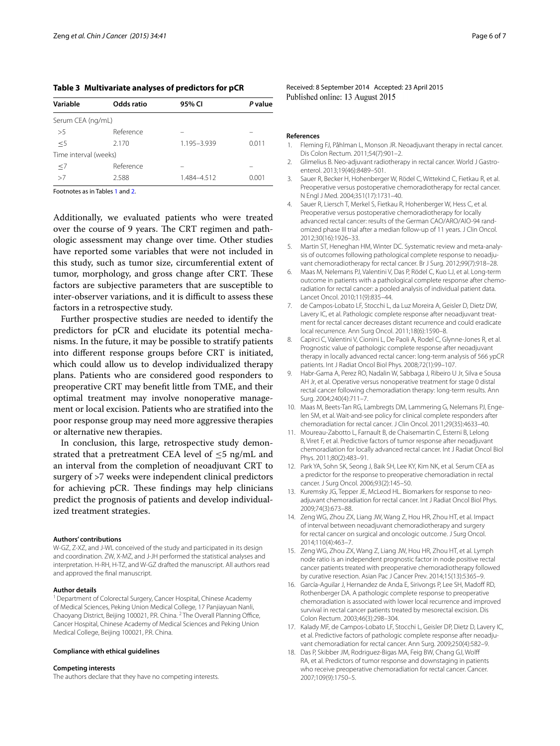<span id="page-5-12"></span>**Table 3 Multivariate analyses of predictors for pCR**

| Variable              | Odds ratio | 95% CI      | P value |
|-----------------------|------------|-------------|---------|
| Serum CEA (ng/mL)     |            |             |         |
| >5                    | Reference  |             |         |
| $<$ 5                 | 2.170      | 1.195-3.939 | 0.011   |
| Time interval (weeks) |            |             |         |
| $\leq$ 7              | Reference  |             |         |
| >7                    | 2.588      | 1.484-4.512 | 0.001   |
|                       |            |             |         |

Footnotes as in Tables [1](#page-2-0) and [2](#page-4-0).

Additionally, we evaluated patients who were treated over the course of 9 years. The CRT regimen and pathologic assessment may change over time. Other studies have reported some variables that were not included in this study, such as tumor size, circumferential extent of tumor, morphology, and gross change after CRT. These factors are subjective parameters that are susceptible to inter-observer variations, and it is difficult to assess these factors in a retrospective study.

Further prospective studies are needed to identify the predictors for pCR and elucidate its potential mechanisms. In the future, it may be possible to stratify patients into different response groups before CRT is initiated, which could allow us to develop individualized therapy plans. Patients who are considered good responders to preoperative CRT may benefit little from TME, and their optimal treatment may involve nonoperative management or local excision. Patients who are stratified into the poor response group may need more aggressive therapies or alternative new therapies.

In conclusion, this large, retrospective study demonstrated that a pretreatment CEA level of  $\leq$ 5 ng/mL and an interval from the completion of neoadjuvant CRT to surgery of >7 weeks were independent clinical predictors for achieving pCR. These findings may help clinicians predict the prognosis of patients and develop individualized treatment strategies.

#### **Authors' contributions**

W-GZ, Z-XZ, and J-WL conceived of the study and participated in its design and coordination. ZW, X-MZ, and J-JH performed the statistical analyses and interpretation. H-RH, H-TZ, and W-GZ drafted the manuscript. All authors read and approved the final manuscript.

#### **Author details**

<sup>1</sup> Department of Colorectal Surgery, Cancer Hospital, Chinese Academy of Medical Sciences, Peking Union Medical College, 17 Panjiayuan Nanli, Chaoyang District, Beijing 100021, P.R. China. 2 The Overall Planning Office, Cancer Hospital, Chinese Academy of Medical Sciences and Peking Union Medical College, Beijing 100021, P.R. China.

#### **Compliance with ethical guidelines**

#### **Competing interests**

The authors declare that they have no competing interests.

Received: 8 September 2014 Accepted: 23 April 2015 Published online: 13 August 2015

#### **References**

- <span id="page-5-0"></span>1. Fleming FJ, Påhlman L, Monson JR. Neoadjuvant therapy in rectal cancer. Dis Colon Rectum. 2011;54(7):901–2.
- <span id="page-5-1"></span>2. Glimelius B. Neo-adjuvant radiotherapy in rectal cancer. World J Gastroenterol. 2013;19(46):8489–501.
- <span id="page-5-2"></span>3. Sauer R, Becker H, Hohenberger W, Rödel C, Wittekind C, Fietkau R, et al. Preoperative versus postoperative chemoradiotherapy for rectal cancer. N Engl J Med. 2004;351(17):1731–40.
- <span id="page-5-3"></span>4. Sauer R, Liersch T, Merkel S, Fietkau R, Hohenberger W, Hess C, et al. Preoperative versus postoperative chemoradiotherapy for locally advanced rectal cancer: results of the German CAO/ARO/AIO-94 randomized phase III trial after a median follow-up of 11 years. J Clin Oncol. 2012;30(16):1926–33.
- <span id="page-5-4"></span>5. Martin ST, Heneghan HM, Winter DC. Systematic review and meta-analysis of outcomes following pathological complete response to neoadjuvant chemoradiotherapy for rectal cancer. Br J Surg. 2012;99(7):918–28.
- 6. Maas M, Nelemans PJ, Valentini V, Das P, Rödel C, Kuo LJ, et al. Long-term outcome in patients with a pathological complete response after chemoradiation for rectal cancer: a pooled analysis of individual patient data. Lancet Oncol. 2010;11(9):835–44.
- 7. de Campos-Lobato LF, Stocchi L, da Luz Moreira A, Geisler D, Dietz DW, Lavery IC, et al. Pathologic complete response after neoadjuvant treatment for rectal cancer decreases distant recurrence and could eradicate local recurrence. Ann Surg Oncol. 2011;18(6):1590–8.
- <span id="page-5-5"></span>8. Capirci C, Valentini V, Cionini L, De Paoli A, Rodel C, Glynne-Jones R, et al. Prognostic value of pathologic complete response after neoadjuvant therapy in locally advanced rectal cancer: long-term analysis of 566 ypCR patients. Int J Radiat Oncol Biol Phys. 2008;72(1):99–107.
- <span id="page-5-6"></span>9. Habr-Gama A, Perez RO, Nadalin W, Sabbaga J, Ribeiro U Jr, Silva e Sousa AH Jr, et al. Operative versus nonoperative treatment for stage 0 distal rectal cancer following chemoradiation therapy: long-term results. Ann Surg. 2004;240(4):711–7.
- <span id="page-5-7"></span>10. Maas M, Beets-Tan RG, Lambregts DM, Lammering G, Nelemans PJ, Engelen SM, et al. Wait-and-see policy for clinical complete responders after chemoradiation for rectal cancer. J Clin Oncol. 2011;29(35):4633–40.
- <span id="page-5-8"></span>11. Moureau-Zabotto L, Farnault B, de Chaisemartin C, Esterni B, Lelong B, Viret F, et al. Predictive factors of tumor response after neoadjuvant chemoradiation for locally advanced rectal cancer. Int J Radiat Oncol Biol Phys. 2011;80(2):483–91.
- 12. Park YA, Sohn SK, Seong J, Baik SH, Lee KY, Kim NK, et al. Serum CEA as a predictor for the response to preoperative chemoradiation in rectal cancer. J Surg Oncol. 2006;93(2):145–50.
- <span id="page-5-9"></span>13. Kuremsky JG, Tepper JE, McLeod HL. Biomarkers for response to neoadjuvant chemoradiation for rectal cancer. Int J Radiat Oncol Biol Phys. 2009;74(3):673–88.
- <span id="page-5-10"></span>14. Zeng WG, Zhou ZX, Liang JW, Wang Z, Hou HR, Zhou HT, et al. Impact of interval between neoadjuvant chemoradiotherapy and surgery for rectal cancer on surgical and oncologic outcome. J Surg Oncol. 2014;110(4):463–7.
- <span id="page-5-11"></span>15. Zeng WG, Zhou ZX, Wang Z, Liang JW, Hou HR, Zhou HT, et al. Lymph node ratio is an independent prognostic factor in node positive rectal cancer patients treated with preoperative chemoradiotherapy followed by curative resection. Asian Pac J Cancer Prev. 2014;15(13):5365–9.
- <span id="page-5-13"></span>16. García-Aguilar J, Hernandez de Anda E, Sirivongs P, Lee SH, Madoff RD, Rothenberger DA. A pathologic complete response to preoperative chemoradiation is associated with lower local recurrence and improved survival in rectal cancer patients treated by mesorectal excision. Dis Colon Rectum. 2003;46(3):298–304.
- <span id="page-5-14"></span>17. Kalady MF, de Campos-Lobato LF, Stocchi L, Geisler DP, Dietz D, Lavery IC, et al. Predictive factors of pathologic complete response after neoadjuvant chemoradiation for rectal cancer. Ann Surg. 2009;250(4):582–9.
- <span id="page-5-15"></span>18. Das P, Skibber JM, Rodriguez-Bigas MA, Feig BW, Chang GJ, Wolff RA, et al. Predictors of tumor response and downstaging in patients who receive preoperative chemoradiation for rectal cancer. Cancer. 2007;109(9):1750–5.